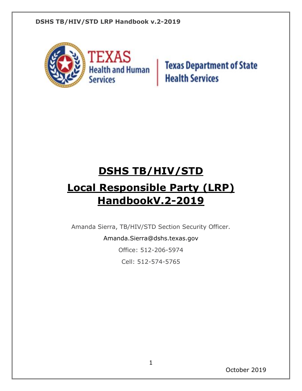

**Texas Department of State Health Services** 

# **DSHS TB/HIV/STD**

# **Local Responsible Party (LRP) HandbookV.2-2019**

Amanda Sierra, TB/HIV/STD Section Security Officer.

Amanda.Sierra@dshs.texas.gov

Office: 512-206-5974

Cell: 512-574-5765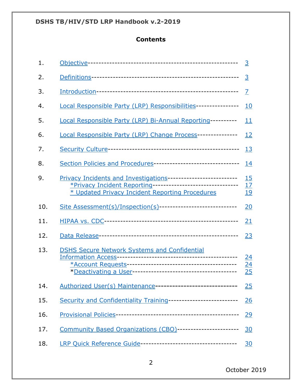# **Contents**

<span id="page-1-0"></span>

| 1.  |                                                                                                                                                                                  | $\overline{3}$                     |  |  |
|-----|----------------------------------------------------------------------------------------------------------------------------------------------------------------------------------|------------------------------------|--|--|
| 2.  |                                                                                                                                                                                  | 3                                  |  |  |
| 3.  |                                                                                                                                                                                  | $\overline{Z}$                     |  |  |
| 4.  | Local Responsible Party (LRP) Responsibilities----------------                                                                                                                   | <u>10</u>                          |  |  |
| 5.  | Local Responsible Party (LRP) Bi-Annual Reporting----------                                                                                                                      | 11                                 |  |  |
| 6.  | Local Responsible Party (LRP) Change Process---------------                                                                                                                      | <u>12</u>                          |  |  |
| 7.  |                                                                                                                                                                                  |                                    |  |  |
| 8.  | Section Policies and Procedures---------------------------------                                                                                                                 | 14                                 |  |  |
| 9.  | Privacy Incidents and Investigations--------------------------<br>*Privacy Incident Reporting--------------------------------<br>* Updated Privacy Incident Reporting Procedures | $\frac{15}{17}$<br><u>19</u>       |  |  |
| 10. | Site Assessment(s)/Inspection(s)------------------------------                                                                                                                   | 20                                 |  |  |
| 11. |                                                                                                                                                                                  | 21                                 |  |  |
| 12. |                                                                                                                                                                                  | <u>23</u>                          |  |  |
| 13. | <b>DSHS Secure Network Systems and Confidential</b>                                                                                                                              | <u>24</u><br>$\overline{24}$<br>25 |  |  |
| 14. | Authorized User(s) Maintenance----------------------------                                                                                                                       | 25                                 |  |  |
| 15. | Security and Confidentiality Training--------------------------                                                                                                                  | <u>26</u>                          |  |  |
| 16. |                                                                                                                                                                                  | <u>29</u>                          |  |  |
| 17. | Community Based Organizations (CBO)------------------------                                                                                                                      | <u>30</u>                          |  |  |
| 18. |                                                                                                                                                                                  | <u>30</u>                          |  |  |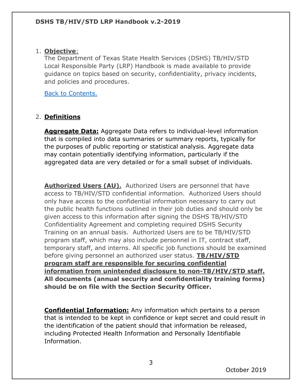## <span id="page-2-0"></span>1. **Objective**:

The Department of Texas State Health Services (DSHS) TB/HIV/STD Local Responsible Party (LRP) Handbook is made available to provide guidance on topics based on security, confidentiality, privacy incidents, and policies and procedures.

[Back to Contents.](#page-1-0)

## <span id="page-2-1"></span>2. **Definitions**

**Aggregate Data:** Aggregate Data refers to individual-level information that is compiled into data summaries or summary reports, typically for the purposes of public reporting or statistical analysis. Aggregate data may contain potentially identifying information, particularly if the aggregated data are very detailed or for a small subset of individuals.

**Authorized Users (AU).** Authorized Users are personnel that have access to TB/HIV/STD confidential information. Authorized Users should only have access to the confidential information necessary to carry out the public health functions outlined in their job duties and should only be given access to this information after signing the DSHS TB/HIV/STD Confidentiality Agreement and completing required DSHS Security Training on an annual basis. Authorized Users are to be TB/HIV/STD program staff, which may also include personnel in IT, contract staff, temporary staff, and interns. All specific job functions should be examined before giving personnel an authorized user status. **TB/HIV/STD program staff are responsible for securing confidential information from unintended disclosure to non-TB/HIV/STD staff. All documents (annual security and confidentiality training forms) should be on file with the Section Security Officer.**

**Confidential Information:** Any information which pertains to a person that is intended to be kept in confidence or kept secret and could result in the identification of the patient should that information be released, including Protected Health Information and Personally Identifiable Information.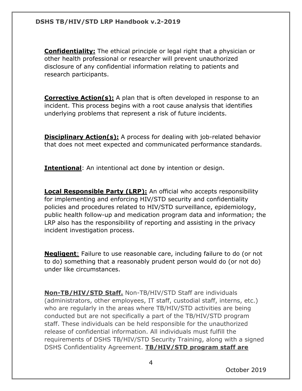**Confidentiality:** The ethical principle or legal right that a physician or other health professional or researcher will prevent unauthorized disclosure of any confidential information relating to patients and research participants.

**Corrective Action(s):** A plan that is often developed in response to an incident. This process begins with a root cause analysis that identifies underlying problems that represent a risk of future incidents.

**Disciplinary Action(s):** A process for dealing with job-related behavior that does not meet expected and communicated performance standards.

**Intentional**: An intentional act done by intention or design.

**Local Responsible Party (LRP):** An official who accepts responsibility for implementing and enforcing HIV/STD security and confidentiality policies and procedures related to HIV/STD surveillance, epidemiology, public health follow-up and medication program data and information; the LRP also has the responsibility of reporting and assisting in the privacy incident investigation process.

**Negligent**: Failure to use reasonable care, including failure to do (or not to do) something that a reasonably prudent person would do (or not do) under like circumstances.

**Non-TB/HIV/STD Staff.** Non-TB/HIV/STD Staff are individuals (administrators, other employees, IT staff, custodial staff, interns, etc.) who are regularly in the areas where TB/HIV/STD activities are being conducted but are not specifically a part of the TB/HIV/STD program staff. These individuals can be held responsible for the unauthorized release of confidential information. All individuals must fulfill the requirements of DSHS TB/HIV/STD Security Training, along with a signed DSHS Confidentiality Agreement. **TB/HIV/STD program staff are**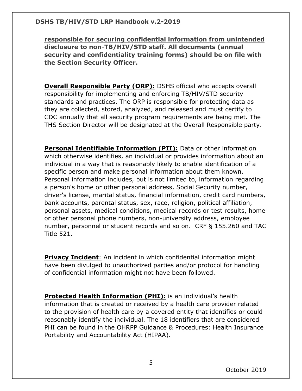**responsible for securing confidential information from unintended disclosure to non-TB/HIV/STD staff. All documents (annual security and confidentiality training forms) should be on file with the Section Security Officer.**

**Overall Responsible Party (ORP):** DSHS official who accepts overall responsibility for implementing and enforcing TB/HIV/STD security standards and practices. The ORP is responsible for protecting data as they are collected, stored, analyzed, and released and must certify to CDC annually that all security program requirements are being met. The THS Section Director will be designated at the Overall Responsible party.

**Personal Identifiable Information (PII):** Data or other information which otherwise identifies, an individual or provides information about an individual in a way that is reasonably likely to enable identification of a specific person and make personal information about them known. Personal information includes, but is not limited to, information regarding a person's home or other personal address, Social Security number, driver's license, marital status, financial information, credit card numbers, bank accounts, parental status, sex, race, religion, political affiliation, personal assets, medical conditions, medical records or test results, home or other personal phone numbers, non-university address, employee number, personnel or student records and so on. CRF § 155.260 and TAC Title 521.

**Privacy Incident**: An incident in which confidential information might have been divulged to unauthorized parties and/or protocol for handling of confidential information might not have been followed.

**Protected Health Information (PHI):** is an individual's health information that is created or received by a health care provider related to the provision of health care by a covered entity that identifies or could reasonably identify the individual. The 18 identifiers that are considered PHI can be found in the OHRPP Guidance & Procedures: Health Insurance Portability and Accountability Act (HIPAA).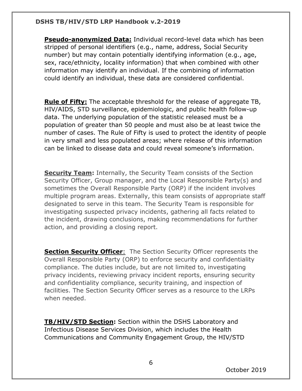**Pseudo-anonymized Data:** Individual record-level data which has been stripped of personal identifiers (e.g., name, address, Social Security number) but may contain potentially identifying information (e.g., age, sex, race/ethnicity, locality information) that when combined with other information may identify an individual. If the combining of information could identify an individual, these data are considered confidential.

**Rule of Fifty:** The acceptable threshold for the release of aggregate TB, HIV/AIDS, STD surveillance, epidemiologic, and public health follow-up data. The underlying population of the statistic released must be a population of greater than 50 people and must also be at least twice the number of cases. The Rule of Fifty is used to protect the identity of people in very small and less populated areas; where release of this information can be linked to disease data and could reveal someone's information.

**Security Team:** Internally, the Security Team consists of the Section Security Officer, Group manager, and the Local Responsible Party(s) and sometimes the Overall Responsible Party (ORP) if the incident involves multiple program areas. Externally, this team consists of appropriate staff designated to serve in this team. The Security Team is responsible for investigating suspected privacy incidents, gathering all facts related to the incident, drawing conclusions, making recommendations for further action, and providing a closing report.

**Section Security Officer**: The Section Security Officer represents the Overall Responsible Party (ORP) to enforce security and confidentiality compliance. The duties include, but are not limited to, investigating privacy incidents, reviewing privacy incident reports, ensuring security and confidentiality compliance, security training, and inspection of facilities. The Section Security Officer serves as a resource to the LRPs when needed.

**TB/HIV/STD Section:** Section within the DSHS Laboratory and Infectious Disease Services Division, which includes the Health Communications and Community Engagement Group, the HIV/STD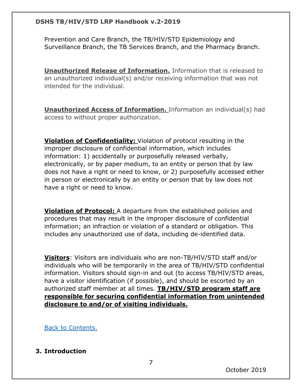Prevention and Care Branch, the TB/HIV/STD Epidemiology and Surveillance Branch, the TB Services Branch, and the Pharmacy Branch.

**Unauthorized Release of Information.** Information that is released to an unauthorized individual(s) and/or receiving information that was not intended for the individual.

**Unauthorized Access of Information.** Information an individual(s) had access to without proper authorization.

**Violation of Confidentiality:** Violation of protocol resulting in the improper disclosure of confidential information, which includes information: 1) accidentally or purposefully released verbally, electronically, or by paper medium, to an entity or person that by law does not have a right or need to know, or 2) purposefully accessed either in person or electronically by an entity or person that by law does not have a right or need to know.

**Violation of Protocol:** A departure from the established policies and procedures that may result in the improper disclosure of confidential information; an infraction or violation of a standard or obligation. This includes any unauthorized use of data, including de-identified data.

**Visitors**: Visitors are individuals who are non-TB/HIV/STD staff and/or individuals who will be temporarily in the area of TB/HIV/STD confidential information. Visitors should sign-in and out (to access TB/HIV/STD areas, have a visitor identification (if possible), and should be escorted by an authorized staff member at all times. **TB/HIV/STD program staff are responsible for securing confidential information from unintended disclosure to and/or of visiting individuals.**

[Back to Contents.](#page-1-0)

## <span id="page-6-0"></span>**3. Introduction**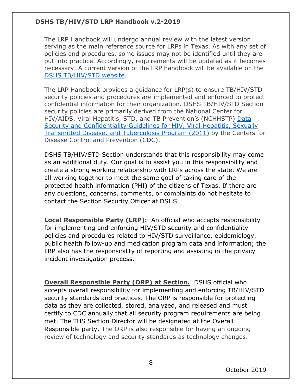The LRP Handbook will undergo annual review with the latest version serving as the main reference source for LRPs in Texas. As with any set of policies and procedures, some issues may not be identified until they are put into practice. Accordingly, requirements will be updated as it becomes necessary. A current version of the LRP handbook will be available on the [DSHS TB/HIV/STD website.](http://online.dshs.internal/hivstd/default.aspx)

The LRP Handbook provides a guidance for LRP(s) to ensure TB/HIV/STD security policies and procedures are implemented and enforced to protect confidential information for their organization. DSHS TB/HIV/STD Section security policies are primarily derived from the National Center for HIV/AIDS, Viral Hepatitis, STD, and TB Prevention's (NCHHSTP) [Data](https://www.cdc.gov/nchhstp/programintegration/docs/PCSIDataSecurityGuidelines.pdf)  [Security and Confidentiality Guidelines for HIV, Viral Hepatitis, Sexually](https://www.cdc.gov/nchhstp/programintegration/docs/PCSIDataSecurityGuidelines.pdf)  [Transmitted Disease, and Tuberculosis Program \(2011\)](https://www.cdc.gov/nchhstp/programintegration/docs/PCSIDataSecurityGuidelines.pdf) by the Centers for Disease Control and Prevention (CDC).

DSHS TB/HIV/STD Section understands that this responsibility may come as an additional duty. Our goal is to assist you in this responsibility and create a strong working relationship with LRPs across the state. We are all working together to meet the same goal of taking care of the protected health information (PHI) of the citizens of Texas. If there are any questions, concerns, comments, or complaints do not hesitate to contact the Section Security Officer at DSHS.

**Local Responsible Party (LRP):** An official who accepts responsibility for implementing and enforcing HIV/STD security and confidentiality policies and procedures related to HIV/STD surveillance, epidemiology, public health follow-up and medication program data and information; the LRP also has the responsibility of reporting and assisting in the privacy incident investigation process.

**Overall Responsible Party (ORP) at Section.** DSHS official who accepts overall responsibility for implementing and enforcing TB/HIV/STD security standards and practices. The ORP is responsible for protecting data as they are collected, stored, analyzed, and released and must certify to CDC annually that all security program requirements are being met. The THS Section Director will be designated at the Overall Responsible party. The ORP is also responsible for having an ongoing review of technology and security standards as technology changes.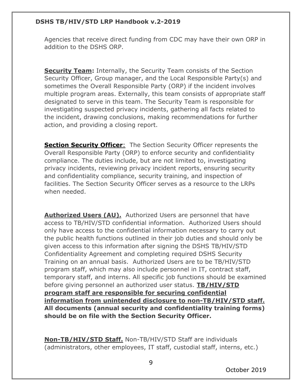Agencies that receive direct funding from CDC may have their own ORP in addition to the DSHS ORP.

**Security Team:** Internally, the Security Team consists of the Section Security Officer, Group manager, and the Local Responsible Party(s) and sometimes the Overall Responsible Party (ORP) if the incident involves multiple program areas. Externally, this team consists of appropriate staff designated to serve in this team. The Security Team is responsible for investigating suspected privacy incidents, gathering all facts related to the incident, drawing conclusions, making recommendations for further action, and providing a closing report.

**Section Security Officer:** The Section Security Officer represents the Overall Responsible Party (ORP) to enforce security and confidentiality compliance. The duties include, but are not limited to, investigating privacy incidents, reviewing privacy incident reports, ensuring security and confidentiality compliance, security training, and inspection of facilities. The Section Security Officer serves as a resource to the LRPs when needed.

**Authorized Users (AU).** Authorized Users are personnel that have access to TB/HIV/STD confidential information. Authorized Users should only have access to the confidential information necessary to carry out the public health functions outlined in their job duties and should only be given access to this information after signing the DSHS TB/HIV/STD Confidentiality Agreement and completing required DSHS Security Training on an annual basis. Authorized Users are to be TB/HIV/STD program staff, which may also include personnel in IT, contract staff, temporary staff, and interns. All specific job functions should be examined before giving personnel an authorized user status. **TB/HIV/STD program staff are responsible for securing confidential information from unintended disclosure to non-TB/HIV/STD staff. All documents (annual security and confidentiality training forms) should be on file with the Section Security Officer.**

**Non-TB/HIV/STD Staff.** Non-TB/HIV/STD Staff are individuals (administrators, other employees, IT staff, custodial staff, interns, etc.)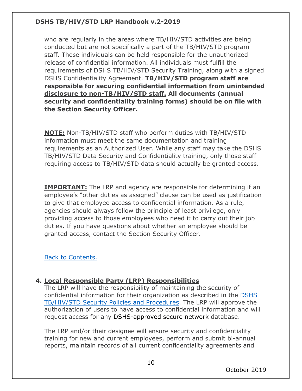who are regularly in the areas where TB/HIV/STD activities are being conducted but are not specifically a part of the TB/HIV/STD program staff. These individuals can be held responsible for the unauthorized release of confidential information. All individuals must fulfill the requirements of DSHS TB/HIV/STD Security Training, along with a signed DSHS Confidentiality Agreement. **TB/HIV/STD program staff are responsible for securing confidential information from unintended disclosure to non-TB/HIV/STD staff. All documents (annual security and confidentiality training forms) should be on file with the Section Security Officer.**

**NOTE:** Non-TB/HIV/STD staff who perform duties with TB/HIV/STD information must meet the same documentation and training requirements as an Authorized User. While any staff may take the DSHS TB/HIV/STD Data Security and Confidentiality training, only those staff requiring access to TB/HIV/STD data should actually be granted access.

**IMPORTANT:** The LRP and agency are responsible for determining if an employee's "other duties as assigned" clause can be used as justification to give that employee access to confidential information. As a rule, agencies should always follow the principle of least privilege, only providing access to those employees who need it to carry out their job duties. If you have questions about whether an employee should be granted access, contact the Section Security Officer.

[Back to Contents.](#page-1-0)

## <span id="page-9-0"></span>**4. Local Responsible Party (LRP) Responsibilities**

The LRP will have the responsibility of maintaining the security of confidential information for their organization as described in the [DSHS](https://www.dshs.texas.gov/hivstd/policy/security.shtm)  [TB/HIV/STD Security Policies and Procedures.](https://www.dshs.texas.gov/hivstd/policy/security.shtm) The LRP will approve the authorization of users to have access to confidential information and will request access for any DSHS-approved secure network database.

The LRP and/or their designee will ensure security and confidentiality training for new and current employees, perform and submit bi-annual reports, maintain records of all current confidentiality agreements and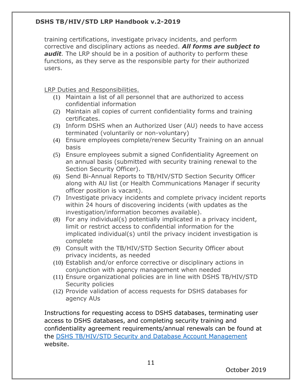training certifications, investigate privacy incidents, and perform corrective and disciplinary actions as needed. *All forms are subject to audit.* The LRP should be in a position of authority to perform these functions, as they serve as the responsible party for their authorized users.

LRP Duties and Responsibilities.

- (1) Maintain a list of all personnel that are authorized to access confidential information
- (2) Maintain all copies of current confidentiality forms and training certificates.
- (3) Inform DSHS when an Authorized User (AU) needs to have access terminated (voluntarily or non-voluntary)
- (4) Ensure employees complete/renew Security Training on an annual basis
- (5) Ensure employees submit a signed Confidentiality Agreement on an annual basis (submitted with security training renewal to the Section Security Officer).
- (6) Send Bi-Annual Reports to TB/HIV/STD Section Security Officer along with AU list (or Health Communications Manager if security officer position is vacant).
- (7) Investigate privacy incidents and complete privacy incident reports within 24 hours of discovering incidents (with updates as the investigation/information becomes available).
- (8) For any individual(s) potentially implicated in a privacy incident, limit or restrict access to confidential information for the implicated individual(s) until the privacy incident investigation is complete
- (9) Consult with the TB/HIV/STD Section Security Officer about privacy incidents, as needed
- (10) Establish and/or enforce corrective or disciplinary actions in conjunction with agency management when needed
- (11) Ensure organizational policies are in line with DSHS TB/HIV/STD Security policies
- (12) Provide validation of access requests for DSHS databases for agency AUs

Instructions for requesting access to DSHS databases, terminating user access to DSHS databases, and completing security training and confidentiality agreement requirements/annual renewals can be found at the [DSHS TB/HIV/STD Security and Database Account Management](https://www.dshs.texas.gov/thsvh/account.shtm) website.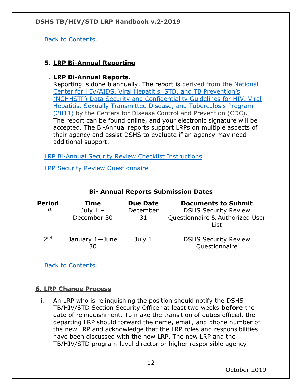[Back to Contents.](#page-1-0)

## <span id="page-11-0"></span>**5. LRP Bi-Annual Reporting**

## i. **LRP Bi-Annual Reports.**

Reporting is done biannually. The report is derived from the [National](https://www.cdc.gov/nchhstp/programintegration/docs/PCSIDataSecurityGuidelines.pdf) Center for [HIV/AIDS, Viral Hepatitis, STD, and TB Prevention's](https://www.cdc.gov/nchhstp/programintegration/docs/PCSIDataSecurityGuidelines.pdf) [\(NCHHSTP\) Data Security and Confidentiality Guidelines for HIV, Viral](https://www.cdc.gov/nchhstp/programintegration/docs/PCSIDataSecurityGuidelines.pdf)  [Hepatitis, Sexually Transmitted Disease, and Tuberculosis Program](https://www.cdc.gov/nchhstp/programintegration/docs/PCSIDataSecurityGuidelines.pdf)  [\(2011\)](https://www.cdc.gov/nchhstp/programintegration/docs/PCSIDataSecurityGuidelines.pdf) by the Centers for Disease Control and Prevention (CDC). The report can be found online, and your electronic signature will be accepted. The Bi-Annual reports support LRPs on multiple aspects of their agency and assist DSHS to evaluate if an agency may need additional support.

[LRP Bi-Annual Security Review Checklist Instructions](https://www.dshs.texas.gov/hivstd/policy/policies/LRPChecklistInstructions.pdf)

[LRP Security Review Questionnaire](https://forms.office.com/pages/responsepage.aspx?id=Mnf5m7mCm0mxaqk-jr1Ta38I2AHeHwBBhxJ4qEmv_91UOVFTSTBVM0ZUOENKWVpPRk5JWkRIQk02RyQlQCN0PWcu)

| Period<br>1 <sup>st</sup> | Time<br>July $1 -$<br>December 30 | <b>Due Date</b><br>December<br>31 | <b>Documents to Submit</b><br><b>DSHS Security Review</b><br>Questionnaire & Authorized User<br>List |
|---------------------------|-----------------------------------|-----------------------------------|------------------------------------------------------------------------------------------------------|
| 2 <sub>nd</sub>           | January 1-June<br>30              | July 1                            | <b>DSHS Security Review</b><br>Questionnaire                                                         |

#### **Bi- Annual Reports Submission Dates**

[Back to Contents.](#page-1-0)

## <span id="page-11-1"></span>**6. LRP Change Process**

i. An LRP who is relinquishing the position should notify the DSHS TB/HIV/STD Section Security Officer at least two weeks **before** the date of relinquishment. To make the transition of duties official, the departing LRP should forward the name, email, and phone number of the new LRP and acknowledge that the LRP roles and responsibilities have been discussed with the new LRP. The new LRP and the TB/HIV/STD program-level director or higher responsible agency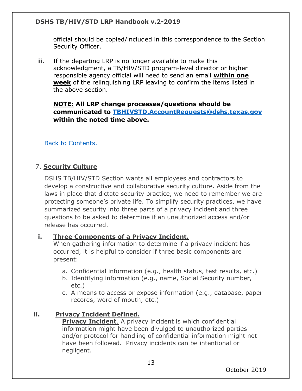official should be copied/included in this correspondence to the Section Security Officer.

**ii.** If the departing LRP is no longer available to make this acknowledgment, a TB/HIV/STD program-level director or higher responsible agency official will need to send an email **within one week** of the relinquishing LRP leaving to confirm the items listed in the above section.

## **NOTE: All LRP change processes/questions should be communicated to [TBHIVSTD.AccountRequests@dshs.texas.gov](mailto:TBHIVSTD.AccountRequests@dshs.texas.gov) within the noted time above.**

[Back to Contents.](#page-1-0)

## <span id="page-12-0"></span>7. **Security Culture**

DSHS TB/HIV/STD Section wants all employees and contractors to develop a constructive and collaborative security culture. Aside from the laws in place that dictate security practice, we need to remember we are protecting someone's private life. To simplify security practices, we have summarized security into three parts of a privacy incident and three questions to be asked to determine if an unauthorized access and/or release has occurred.

#### <span id="page-12-2"></span>**i. Three Components of a Privacy Incident.**

When gathering information to determine if a privacy incident has occurred, it is helpful to consider if three basic components are present:

- a. Confidential information (e.g., health status, test results, etc.)
- b. Identifying information (e.g., name, Social Security number, etc.)
- c. A means to access or expose information (e.g., database, paper records, word of mouth, etc.)

## <span id="page-12-1"></span>**ii. Privacy Incident Defined.**

**Privacy Incident.** A privacy incident is which confidential information might have been divulged to unauthorized parties and/or protocol for handling of confidential information might not have been followed. Privacy incidents can be intentional or negligent.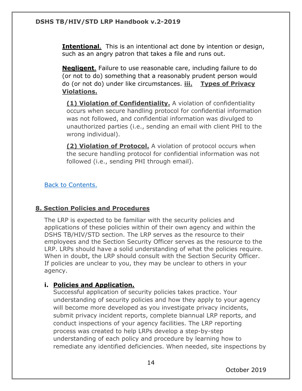**Intentional**. This is an intentional act done by intention or design, such as an angry patron that takes a file and runs out.

**Negligent**. Failure to use reasonable care, including failure to do (or not to do) something that a reasonably prudent person would do (or not do) under like circumstances. **iii. Types of Privacy Violations.** 

<span id="page-13-1"></span>**(1) Violation of Confidentiality.** A violation of confidentiality occurs when secure handling protocol for confidential information was not followed, and confidential information was divulged to unauthorized parties (i.e., sending an email with client PHI to the wrong individual).

**(2) Violation of Protocol.** A violation of protocol occurs when the secure handling protocol for confidential information was not followed (i.e., sending PHI through email).

[Back to Contents.](#page-1-0)

## <span id="page-13-0"></span>**8. Section Policies and Procedures**

The LRP is expected to be familiar with the security policies and applications of these policies within of their own agency and within the DSHS TB/HIV/STD section. The LRP serves as the resource to their employees and the Section Security Officer serves as the resource to the LRP. LRPs should have a solid understanding of what the policies require. When in doubt, the LRP should consult with the Section Security Officer. If policies are unclear to you, they may be unclear to others in your agency.

## **i. Policies and Application.**

Successful application of security policies takes practice. Your understanding of security policies and how they apply to your agency will become more developed as you investigate privacy incidents, submit privacy incident reports, complete biannual LRP reports, and conduct inspections of your agency facilities. The LRP reporting process was created to help LRPs develop a step-by-step understanding of each policy and procedure by learning how to remediate any identified deficiencies. When needed, site inspections by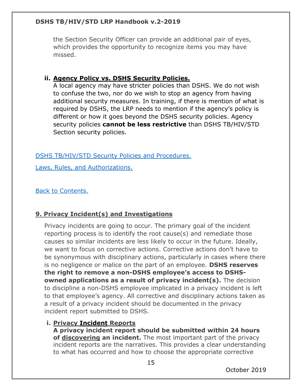the Section Security Officer can provide an additional pair of eyes, which provides the opportunity to recognize items you may have missed.

## **ii. Agency Policy vs. DSHS Security Policies.**

A local agency may have stricter policies than DSHS. We do not wish to confuse the two, nor do we wish to stop an agency from having additional security measures. In training, if there is mention of what is required by DSHS, the LRP needs to mention if the agency's policy is different or how it goes beyond the DSHS security policies. Agency security policies **cannot be less restrictive** than DSHS TB/HIV/STD Section security policies.

[DSHS TB/HIV/STD Security Policies and Procedures.](https://www.dshs.texas.gov/hivstd/policy/security.shtm)

[Laws, Rules, and Authorizations.](https://www.dshs.texas.gov/hivstd/policy/laws.shtm)

[Back to Contents.](#page-1-0)

## <span id="page-14-0"></span>**9. Privacy Incident(s) and Investigations**

Privacy incidents are going to occur. The primary goal of the incident reporting process is to identify the root cause(s) and remediate those causes so similar incidents are less likely to occur in the future. Ideally, we want to focus on corrective actions. Corrective actions don't have to be synonymous with disciplinary actions, particularly in cases where there is no negligence or malice on the part of an employee. **DSHS reserves the right to remove a non-DSHS employee's access to DSHSowned applications as a result of privacy incident(s).** The decision to discipline a non-DSHS employee implicated in a privacy incident is left to that employee's agency. All corrective and disciplinary actions taken as a result of a privacy incident should be documented in the privacy incident report submitted to DSHS.

#### **i. Privacy Incident Reports**

**A privacy incident report should be submitted within 24 hours of discovering an incident.** The most important part of the privacy incident reports are the narratives. This provides a clear understanding to what has occurred and how to choose the appropriate corrective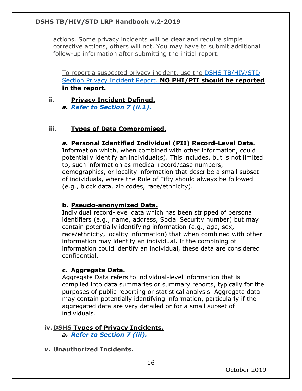actions. Some privacy incidents will be clear and require simple corrective actions, others will not. You may have to submit additional follow-up information after submitting the initial report.

To report a suspected privacy incident, use the [DSHS TB/HIV/STD](https://forms.office.com/Pages/ResponsePage.aspx?id=Mnf5m7mCm0mxaqk-jr1Ta8pPRdvSh7ZEjdx2IJWdrCxUN1o0T1hLMUhJWTBEWFVCMERSTVBWRzJMSi4u)  [Section Privacy Incident Report.](https://forms.office.com/Pages/ResponsePage.aspx?id=Mnf5m7mCm0mxaqk-jr1Ta38I2AHeHwBBhxJ4qEmv_91UMEVPMjY3NzhJUzFDVjVQMjFGV0tQMUFESCQlQCN0PWcu) **NO PHI/PII should be reported in the report.** 

## **ii. Privacy Incident Defined.**

*a. [Refer to Section 7](#page-12-1) (ii.1).*

#### **iii. Types of Data Compromised.**

#### *a.* **Personal Identified Individual (PII) Record-Level Data.**

Information which, when combined with other information, could potentially identify an individual(s). This includes, but is not limited to, such information as medical record/case numbers, demographics, or locality information that describe a small subset of individuals, where the Rule of Fifty should always be followed (e.g., block data, zip codes, race/ethnicity).

#### **b. Pseudo-anonymized Data.**

Individual record-level data which has been stripped of personal identifiers (e.g., name, address, Social Security number) but may contain potentially identifying information (e.g., age, sex, race/ethnicity, locality information) that when combined with other information may identify an individual. If the combining of information could identify an individual, these data are considered confidential.

#### **c. Aggregate Data.**

Aggregate Data refers to individual-level information that is compiled into data summaries or summary reports, typically for the purposes of public reporting or statistical analysis. Aggregate data may contain potentially identifying information, particularly if the aggregated data are very detailed or for a small subset of individuals.

#### **iv. DSHS Types of Privacy Incidents.**

*a. [Refer to Section 7](#page-13-1) (iii).*

**v. Unauthorized Incidents.**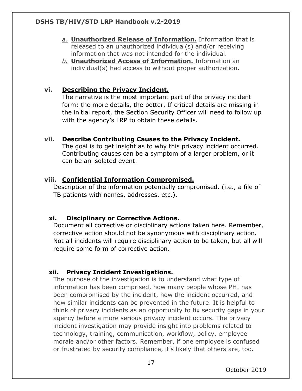- *a.* **Unauthorized Release of Information.** Information that is released to an unauthorized individual(s) and/or receiving information that was not intended for the individual.
- *b.* **Unauthorized Access of Information.** Information an individual(s) had access to without proper authorization.

## **vi. Describing the Privacy Incident.**

The narrative is the most important part of the privacy incident form; the more details, the better. If critical details are missing in the initial report, the Section Security Officer will need to follow up with the agency's LRP to obtain these details.

#### **vii. Describe Contributing Causes to the Privacy Incident.**

The goal is to get insight as to why this privacy incident occurred. Contributing causes can be a symptom of a larger problem, or it can be an isolated event.

#### **viii. Confidential Information Compromised.**

Description of the information potentially compromised. (i.e., a file of TB patients with names, addresses, etc.).

#### **xi. Disciplinary or Corrective Actions.**

Document all corrective or disciplinary actions taken here. Remember, corrective action should not be synonymous with disciplinary action. Not all incidents will require disciplinary action to be taken, but all will require some form of corrective action.

#### <span id="page-16-0"></span>**xii. Privacy Incident Investigations.**

The purpose of the investigation is to understand what type of information has been comprised, how many people whose PHI has been compromised by the incident, how the incident occurred, and how similar incidents can be prevented in the future. It is helpful to think of privacy incidents as an opportunity to fix security gaps in your agency before a more serious privacy incident occurs. The privacy incident investigation may provide insight into problems related to technology, training, communication, workflow, policy, employee morale and/or other factors. Remember, if one employee is confused or frustrated by security compliance, it's likely that others are, too.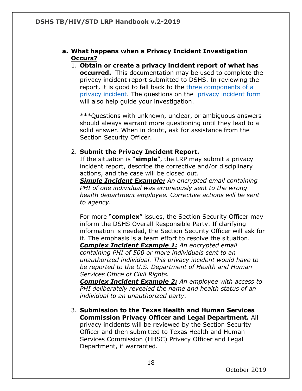#### **a. What happens when a Privacy Incident Investigation Occurs?**

1. **Obtain or create a privacy incident report of what has occurred.** This documentation may be used to complete the privacy incident report submitted to DSHS. In reviewing the report, it is good to fall back to the [three components of a](#page-12-2) [privacy incident.](#page-12-2) The questions on the [privacy incident form](https://forms.office.com/Pages/ResponsePage.aspx?id=Mnf5m7mCm0mxaqk-jr1Ta38I2AHeHwBBhxJ4qEmv_91UMEVPMjY3NzhJUzFDVjVQMjFGV0tQMUFESCQlQCN0PWcu) will also help guide your investigation.

\*\*\*Questions with unknown, unclear, or ambiguous answers should always warrant more questioning until they lead to a solid answer. When in doubt, ask for assistance from the Section Security Officer.

#### 2. **Submit the Privacy Incident Report.**

If the situation is "**simple**", the LRP may submit a privacy incident report, describe the corrective and/or disciplinary actions, and the case will be closed out.

*Simple Incident Example: An encrypted email containing PHI of one individual was erroneously sent to the wrong health department employee. Corrective actions will be sent to agency.*

For more "**complex**" issues, the Section Security Officer may inform the DSHS Overall Responsible Party. If clarifying information is needed, the Section Security Officer will ask for it. The emphasis is a team effort to resolve the situation.

*Complex Incident Example 1: An encrypted email containing PHI of 500 or more individuals sent to an unauthorized individual. This privacy incident would have to be reported to the U.S. Department of Health and Human Services Office of Civil Rights.*

*Complex Incident Example 2: An employee with access to PHI deliberately revealed the name and health status of an individual to an unauthorized party.*

3. **Submission to the Texas Health and Human Services Commission Privacy Officer and Legal Department.** All privacy incidents will be reviewed by the Section Security Officer and then submitted to Texas Health and Human Services Commission (HHSC) Privacy Officer and Legal Department, if warranted.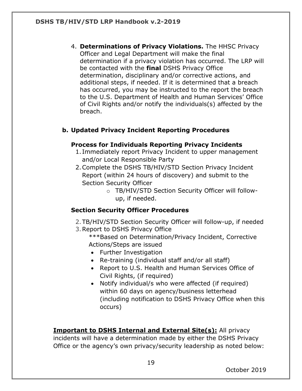4. **Determinations of Privacy Violations.** The HHSC Privacy Officer and Legal Department will make the final determination if a privacy violation has occurred. The LRP will be contacted with the **final** DSHS Privacy Office determination, disciplinary and/or corrective actions, and additional steps, if needed. If it is determined that a breach has occurred, you may be instructed to the report the breach to the U.S. Department of Health and Human Services' Office of Civil Rights and/or notify the individuals(s) affected by the breach.

## <span id="page-18-0"></span>**b. Updated Privacy Incident Reporting Procedures**

## **Process for Individuals Reporting Privacy Incidents**

- 1. Immediately report Privacy Incident to upper management and/or Local Responsible Party
- 2.Complete the DSHS TB/HIV/STD Section Privacy Incident Report (within 24 hours of discovery) and submit to the Section Security Officer
	- o TB/HIV/STD Section Security Officer will followup, if needed.

## **Section Security Officer Procedures**

- 2.TB/HIV/STD Section Security Officer will follow-up, if needed
- 3.Report to DSHS Privacy Office
	- \*\*\*Based on Determination/Privacy Incident, Corrective Actions/Steps are issued
	- Further Investigation
	- Re-training (individual staff and/or all staff)
	- Report to U.S. Health and Human Services Office of Civil Rights, (if required)
	- Notify individual/s who were affected (if required) within 60 days on agency/business letterhead (including notification to DSHS Privacy Office when this occurs)

**Important to DSHS Internal and External Site(s):** All privacy incidents will have a determination made by either the DSHS Privacy Office or the agency's own privacy/security leadership as noted below: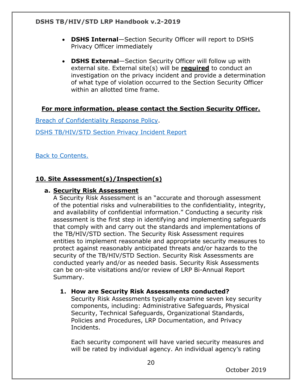- **DSHS Internal**—Section Security Officer will report to DSHS Privacy Officer immediately
- **DSHS External**—Section Security Officer will follow up with external site. External site(s) will be **required** to conduct an investigation on the privacy incident and provide a determination of what type of violation occurred to the Section Security Officer within an allotted time frame.

## **For more information, please contact the Section Security Officer.**

[Breach of Confidentiality Response Policy.](https://www.dshs.texas.gov/hivstd/policy/policies/2011-04.shtm)

[DSHS TB/HIV/STD Section Privacy Incident Report](https://forms.office.com/Pages/ResponsePage.aspx?id=Mnf5m7mCm0mxaqk-jr1Ta38I2AHeHwBBhxJ4qEmv_91UMEVPMjY3NzhJUzFDVjVQMjFGV0tQMUFESCQlQCN0PWcu)

[Back to Contents.](#page-1-0)

## <span id="page-19-0"></span>**10. Site Assessment(s)/Inspection(s)**

#### **a. Security Risk Assessment**

A Security Risk Assessment is an "accurate and thorough assessment of the potential risks and vulnerabilities to the confidentiality, integrity, and availability of confidential information." Conducting a security risk assessment is the first step in identifying and implementing safeguards that comply with and carry out the standards and implementations of the TB/HIV/STD section. The Security Risk Assessment requires entities to implement reasonable and appropriate security measures to protect against reasonably anticipated threats and/or hazards to the security of the TB/HIV/STD Section. Security Risk Assessments are conducted yearly and/or as needed basis. Security Risk Assessments can be on-site visitations and/or review of LRP Bi-Annual Report Summary.

#### **1. How are Security Risk Assessments conducted?**

Security Risk Assessments typically examine seven key security components, including: Administrative Safeguards, Physical Security, Technical Safeguards, Organizational Standards, Policies and Procedures, LRP Documentation, and Privacy Incidents.

Each security component will have varied security measures and will be rated by individual agency. An individual agency's rating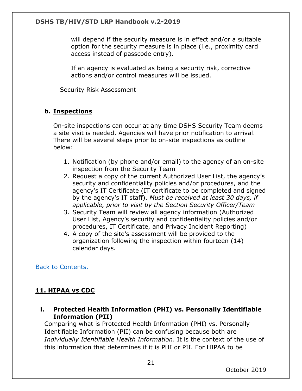will depend if the security measure is in effect and/or a suitable option for the security measure is in place (i.e., proximity card access instead of passcode entry).

If an agency is evaluated as being a security risk, corrective actions and/or control measures will be issued.

Security Risk Assessment

#### **b. Inspections**

On-site inspections can occur at any time DSHS Security Team deems a site visit is needed. Agencies will have prior notification to arrival. There will be several steps prior to on-site inspections as outline below:

- 1. Notification (by phone and/or email) to the agency of an on-site inspection from the Security Team
- 2. Request a copy of the current Authorized User List, the agency's security and confidentiality policies and/or procedures, and the agency's IT Certificate (IT certificate to be completed and signed by the agency's IT staff). *Must be received at least 30 days, if applicable, prior to visit by the Section Security Officer/Team*
- 3. Security Team will review all agency information (Authorized User List, Agency's security and confidentiality policies and/or procedures, IT Certificate, and Privacy Incident Reporting)
- 4. A copy of the site's assessment will be provided to the organization following the inspection within fourteen (14) calendar days.

[Back to Contents.](#page-1-0)

#### <span id="page-20-0"></span>**11. HIPAA vs CDC**

**i. Protected Health Information (PHI) vs. Personally Identifiable Information (PII)**

Comparing what is Protected Health Information (PHI) vs. Personally Identifiable Information (PII) can be confusing because both are *Individually Identifiable Health Information*. It is the context of the use of this information that determines if it is PHI or PII. For HIPAA to be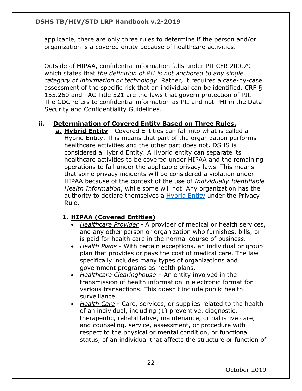applicable, there are only three rules to determine if the person and/or organization is a covered entity because of healthcare activities.

Outside of HIPAA, confidential information falls under PII CFR 200.79 which states that *the definition of [PII](https://www.law.cornell.edu/definitions/index.php?width=840&height=800&iframe=true&def_id=36f2ad20a9f9dcfe3e6a38444824d887&term_occur=3&term_src=Title:2:Subtitle:A:Chapter:II:Part:200:Subpart:A:Subjgrp:28:200.79) is not anchored to any single category of information or technology*. Rather, it requires a case-by-case assessment of the specific risk that an individual can be identified. CRF § 155.260 and TAC Title 521 are the laws that govern protection of PII. The CDC refers to confidential information as PII and not PHI in the Data Security and Confidentiality Guidelines.

## **ii. Determination of Covered Entity Based on Three Rules.**

**a. Hybrid Entity** - Covered Entities can fall into what is called a Hybrid Entity. This means that part of the organization performs healthcare activities and the other part does not. DSHS is considered a Hybrid Entity. A Hybrid entity can separate its healthcare activities to be covered under HIPAA and the remaining operations to fall under the applicable privacy laws. This means that some privacy incidents will be considered a violation under HIPAA because of the context of the use of *Individually Identifiable Health Information*, while some will not. Any organization has the authority to declare themselves a [Hybrid Entity](https://privacyruleandresearch.nih.gov/pr_06.asp) under the Privacy Rule.

## **1. HIPAA (Covered Entities)**

- *Healthcare Provider* A provider of medical or health services, and any other person or organization who furnishes, bills, or is paid for health care in the normal course of business.
- *Health Plans* With certain exceptions, an individual or group plan that provides or pays the cost of medical care. The law specifically includes many types of organizations and government programs as health plans.
- *Healthcare Clearinghouse* An entity involved in the transmission of health information in electronic format for various transactions. This doesn't include public health surveillance.
- *Health Care* Care, services, or supplies related to the health of an individual, including (1) preventive, diagnostic, therapeutic, rehabilitative, maintenance, or palliative care, and counseling, service, assessment, or procedure with respect to the physical or mental condition, or functional status, of an individual that affects the structure or function of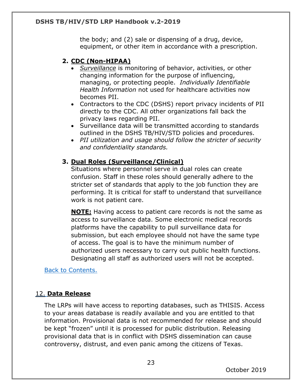the body; and (2) sale or dispensing of a drug, device, equipment, or other item in accordance with a prescription.

## **2. CDC (Non-HIPAA)**

- *Surveillance* is monitoring of behavior, activities, or other changing information for the purpose of influencing, managing, or protecting people. *Individually Identifiable Health Information* not used for healthcare activities now becomes PII.
- Contractors to the CDC (DSHS) report privacy incidents of PII directly to the CDC. All other organizations fall back the privacy laws regarding PII.
- Surveillance data will be transmitted according to standards outlined in the DSHS TB/HIV/STD policies and procedures.
- *PII utilization and usage should follow the stricter of security and confidentiality standards.*

## **3. Dual Roles (Surveillance/Clinical)**

Situations where personnel serve in dual roles can create confusion. Staff in these roles should generally adhere to the stricter set of standards that apply to the job function they are performing. It is critical for staff to understand that surveillance work is not patient care.

**NOTE:** Having access to patient care records is not the same as access to surveillance data. Some electronic medical records platforms have the capability to pull surveillance data for submission, but each employee should not have the same type of access. The goal is to have the minimum number of authorized users necessary to carry out public health functions. Designating all staff as authorized users will not be accepted.

[Back to Contents.](#page-1-0)

## <span id="page-22-0"></span>12. **Data Release**

The LRPs will have access to reporting databases, such as THISIS. Access to your areas database is readily available and you are entitled to that information. Provisional data is not recommended for release and should be kept "frozen" until it is processed for public distribution. Releasing provisional data that is in conflict with DSHS dissemination can cause controversy, distrust, and even panic among the citizens of Texas.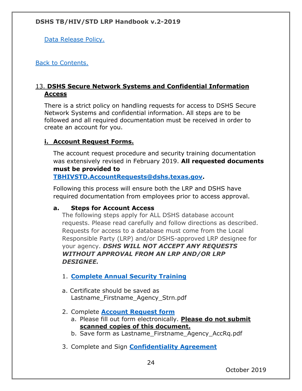[Data Release Policy.](https://www.dshs.texas.gov/hivstd/policy/policies/302-001.shtm)

[Back to Contents.](#page-1-0)

## <span id="page-23-0"></span>13. **DSHS Secure Network Systems and Confidential Information Access**

There is a strict policy on handling requests for access to DSHS Secure Network Systems and confidential information. All steps are to be followed and all required documentation must be received in order to create an account for you.

## <span id="page-23-1"></span>**i. Account Request Forms.**

The account request procedure and security training documentation was extensively revised in February 2019. **All requested documents must be provided to** 

**[TBHIVSTD.AccountRequests@dshs.texas.gov.](mailto:TBHIVSTD.AccountRequests@dshs.texas.gov)**

Following this process will ensure both the LRP and DSHS have required documentation from employees prior to access approval.

#### **a. Steps for Account Access**

The following steps apply for ALL DSHS database account requests. Please read carefully and follow directions as described. Requests for access to a database must come from the Local Responsible Party (LRP) and/or DSHS-approved LRP designee for your agency. *DSHS WILL NOT ACCEPT ANY REQUESTS WITHOUT APPROVAL FROM AN LRP AND/OR LRP DESIGNEE.*

- 1. **[Complete Annual Security Training](https://www.dshs.texas.gov/thsvh/account.shtm)**
- a. Certificate should be saved as Lastname\_Firstname\_Agency\_Strn.pdf
- 2. Complete **[Account Request form](https://www.dshs.texas.gov/thsvh/files/AccountRequestForm.pdf)**
	- a. Please fill out form electronically. **Please do not submit scanned copies of this document.**
	- b. Save form as Lastname\_Firstname\_Agency\_AccRq.pdf
- 3. Complete and Sign **[Confidentiality Agreement](https://www.dshs.texas.gov/thsvh/files/ConfidentialityAgreement.pdf)**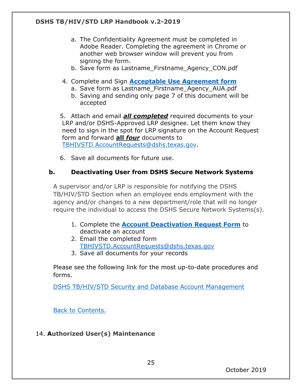- a. The Confidentiality Agreement must be completed in Adobe Reader. Completing the agreement in Chrome or another web browser window will prevent you from signing the form.
- b. Save form as Lastname\_Firstname\_Agency\_CON.pdf
- 4. Complete and Sign **[Acceptable Use Agreement form](https://www.dshs.texas.gov/hivstd/policy/policies/hhs-aua.pdf)**
	- a. Save form as Lastname Firstname Agency AUA.pdf
	- b. Saving and sending only page 7 of this document will be accepted

5. Attach and email *all completed* required documents to your LRP and/or DSHS-Approved LRP designee. Let them know they need to sign in the spot for LRP signature on the Account Request form and forward **all** *four* documents to [TBHIVSTD.AccountRequests@dshs.texas.gov.](mailto:TBHIVSTD.AccountRequests@dshs.texas.gov)

6. Save all documents for future use.

## <span id="page-24-0"></span>**b. Deactivating User from DSHS Secure Network Systems**

A supervisor and/or LRP is responsible for notifying the DSHS TB/HIV/STD Section when an employee ends employment with the agency and/or changes to a new department/role that will no longer require the individual to access the DSHS Secure Network Systems(s).

- 1. Complete the **[Account Deactivation Request Form](https://www.dshs.texas.gov/thsvh/account.shtm)** to deactivate an account
- 2. Email the completed form [TBHIVSTD.AccountRequests@dshs.texas.gov](https://www.dshs.texas.gov/thsvh/TBHIVSTD.AccountRequests@dshs.texas.gov)
- 3. Save all documents for your records

Please see the following link for the most up-to-date procedures and forms.

[DSHS TB/HIV/STD Security and Database Account Management](https://www.dshs.texas.gov/thsvh/account.shtm)

25

[Back to Contents.](#page-1-0)

#### <span id="page-24-1"></span>14. **Authorized User(s) Maintenance**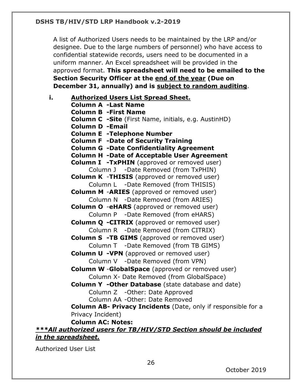A list of Authorized Users needs to be maintained by the LRP and/or designee. Due to the large numbers of personnel) who have access to confidential statewide records, users need to be documented in a uniform manner. An Excel spreadsheet will be provided in the approved format. **This spreadsheet will need to be emailed to the Section Security Officer at the end of the year (Due on December 31, annually) and is subject to random auditing**.

**i. Authorized Users List Spread Sheet. Column A -Last Name Column B -First Name Column C -Site** (First Name, initials, e.g. AustinHD) **Column D -Email Column E -Telephone Number Column F -Date of Security Training Column G -Date Confidentiality Agreement Column H -Date of Acceptable User Agreement Column I -TxPHIN** (approved or removed user) Column J -Date Removed (from TxPHIN) **Column K** -**THISIS** (approved or removed user) Column L -Date Removed (from THISIS) **Column M** -**ARIES** (approved or removed user) Column N -Date Removed (from ARIES) **Column O** -**eHARS** (approved or removed user) Column P -Date Removed (from eHARS) **Column Q -CITRIX** (approved or removed user) Column R -Date Removed (from CITRIX) **Column S -TB GIMS** (approved or removed user) Column T -Date Removed (from TB GIMS) **Column U -VPN** (approved or removed user) Column V -Date Removed (from VPN) **Column W** -**GlobalSpace** (approved or removed user) Column X- Date Removed (from GlobalSpace) **Column Y -Other Database** (state database and date) Column Z -Other: Date Approved Column AA -Other: Date Removed **Column AB- Privacy Incidents** (Date, only if responsible for a Privacy Incident) **Column AC: Notes:**

## *\*\*\*All authorized users for TB/HIV/STD Section should be included in the spreadsheet.*

Authorized User List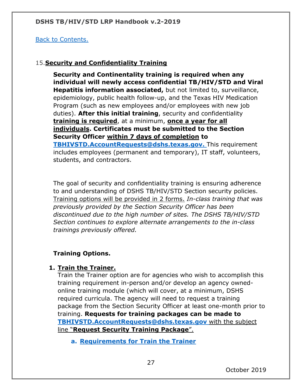## [Back to Contents.](#page-1-0)

## <span id="page-26-0"></span>15.**Security and Confidentiality Training**

**Security and Continentality training is required when any individual will newly access confidential TB/HIV/STD and Viral Hepatitis information associated,** but not limited to, surveillance, epidemiology, public health follow-up, and the Texas HIV Medication Program (such as new employees and/or employees with new job duties). **After this initial training**, security and confidentiality **training is required**, at a minimum, **once a year for all individuals. Certificates must be submitted to the Section Security Officer within 7 days of completion to [TBHIVSTD.AccountRequests@dshs.texas.gov.](mailto:TBHIVSTD.AccountRequests@dshs.texas.gov)** This requirement includes employees (permanent and temporary), IT staff, volunteers, students, and contractors.

The goal of security and confidentiality training is ensuring adherence to and understanding of DSHS TB/HIV/STD Section security policies. Training options will be provided in 2 forms. *In-class training that was previously provided by the Section Security Officer has been discontinued due to the high number of sites. The DSHS TB/HIV/STD Section continues to explore alternate arrangements to the in-class trainings previously offered.*

# **Training Options.**

## **1. Train the Trainer.**

Train the Trainer option are for agencies who wish to accomplish this training requirement in-person and/or develop an agency ownedonline training module (which will cover, at a minimum, DSHS required curricula. The agency will need to request a training package from the Section Security Officer at least one-month prior to training. **Requests for training packages can be made to [TBHIVSTD.AccountRequests@dshs.texas.gov](mailto:TBHIVSTD.AccountRequests@dshs.texas.gov)** with the subject line "**Request Security Training Package**".

**a. Requirements for Train the Trainer**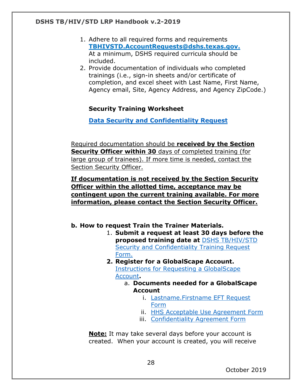- 1. Adhere to all required forms and requirements **[TBHIVSTD.AccountRequests@dshs.texas.gov.](mailto:TBHIVSTD.AccountRequests@dshs.texas.gov)** At a minimum, DSHS required curricula should be included.
- 2. Provide documentation of individuals who completed trainings (i.e., sign-in sheets and/or certificate of completion, and excel sheet with Last Name, First Name, Agency email, Site, Agency Address, and Agency ZipCode.)

#### **Security Training Worksheet**

**[Data Security and Confidentiality Request](https://forms.office.com/Pages/ResponsePage.aspx?id=Mnf5m7mCm0mxaqk-jr1TaywRVE9OyKxNrH340NBI-OBUREhXSDY0NUVaU0s1MDkzQVpTUTdJMUpUSy4u)**

Required documentation should be **received by the Section Security Officer within 30** days of completed training (for large group of trainees). If more time is needed, contact the Section Security Officer.

#### **If documentation is not received by the Section Security Officer within the allotted time, acceptance may be contingent upon the current training available. For more information, please contact the Section Security Officer.**

- **b. How to request Train the Trainer Materials.**
	- 1. **Submit a request at least 30 days before the proposed training date at** [DSHS TB/HIV/STD](https://forms.office.com/Pages/ResponsePage.aspx?id=Mnf5m7mCm0mxaqk-jr1TaywRVE9OyKxNrH340NBI-OBUREhXSDY0NUVaU0s1MDkzQVpTUTdJMUpUSy4u) [Security and Confidentiality Training Request](https://forms.office.com/Pages/ResponsePage.aspx?id=Mnf5m7mCm0mxaqk-jr1TaywRVE9OyKxNrH340NBI-OBUREhXSDY0NUVaU0s1MDkzQVpTUTdJMUpUSy4u) [Form.](https://forms.office.com/Pages/ResponsePage.aspx?id=Mnf5m7mCm0mxaqk-jr1TaywRVE9OyKxNrH340NBI-OBUREhXSDY0NUVaU0s1MDkzQVpTUTdJMUpUSy4u)
	- **2. Register for a GlobalScape Account.** [Instructions for Requesting a GlobalScape](https://www.dshs.texas.gov/thsvh/account.shtm#newaccess) [Account](https://www.dshs.texas.gov/thsvh/account.shtm#newaccess)**.**
		- a. **Documents needed for a GlobalScape Account**
			- i. [Lastname.Firstname EFT Request](https://www.dshs.texas.gov/thsvh/files/AccountRequestForm.pdf) [Form](https://www.dshs.texas.gov/thsvh/files/AccountRequestForm.pdf)
			- ii. [HHS Acceptable Use Agreement Form](https://www.dshs.texas.gov/hivstd/policy/policies/hhs-aua.pdf)
			- iii. [Confidentiality Agreement Form](https://www.dshs.texas.gov/thsvh/files/ConfidentialityAgreement.pdf)

**Note:** It may take several days before your account is created. When your account is created, you will receive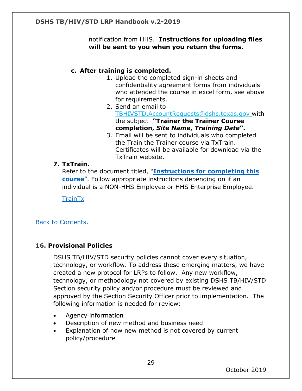notification from HHS. **Instructions for uploading files will be sent to you when you return the forms.**

#### **c. After training is completed.**

- 1. Upload the completed sign-in sheets and confidentiality agreement forms from individuals who attended the course in excel form, see above for requirements.
- 2. Send an email to [TBHIVSTD.AccountRequests@dshs.texas.gov](mailto:TBHIVSTD.AccountRequests@dshs.texas.gov) with the subject **"Trainer the Trainer Course completion,** *Site Name***,** *Training Date***".**
- 3. Email will be sent to individuals who completed the Train the Trainer course via TxTrain. Certificates will be available for download via the TxTrain website.

#### **7. TxTrain.**

Refer to the document titled, "**[Instructions for completing this](https://www.dshs.texas.gov/thsvh/account.shtm#newaccess)  [course](https://www.dshs.texas.gov/thsvh/account.shtm#newaccess)**". Follow appropriate instructions depending on if an individual is a NON-HHS Employee or HHS Enterprise Employee.

**[TrainTx](https://www.train.org/texas/welcome)** 

#### [Back to Contents.](#page-1-0)

#### <span id="page-28-0"></span>**16. Provisional Policies**

DSHS TB/HIV/STD security policies cannot cover every situation, technology, or workflow. To address these emerging matters, we have created a new protocol for LRPs to follow. Any new workflow, technology, or methodology not covered by existing DSHS TB/HIV/STD Section security policy and/or procedure must be reviewed and approved by the Section Security Officer prior to implementation. The following information is needed for review:

- Agency information
- Description of new method and business need
- Explanation of how new method is not covered by current policy/procedure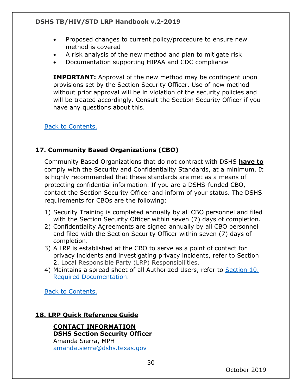- Proposed changes to current policy/procedure to ensure new method is covered
- A risk analysis of the new method and plan to mitigate risk
- Documentation supporting HIPAA and CDC compliance

**IMPORTANT:** Approval of the new method may be contingent upon provisions set by the Section Security Officer. Use of new method without prior approval will be in violation of the security policies and will be treated accordingly. Consult the Section Security Officer if you have any questions about this.

[Back to Contents.](#page-1-0)

## <span id="page-29-0"></span>**17. Community Based Organizations (CBO)**

Community Based Organizations that do not contract with DSHS **have to** comply with the Security and Confidentiality Standards, at a minimum. It is highly recommended that these standards are met as a means of protecting confidential information. If you are a DSHS-funded CBO, contact the Section Security Officer and inform of your status. The DSHS requirements for CBOs are the following:

- 1) Security Training is completed annually by all CBO personnel and filed with the Section Security Officer within seven (7) days of completion.
- 2) Confidentiality Agreements are signed annually by all CBO personnel and filed with the Section Security Officer within seven (7) days of completion.
- 3) A LRP is established at the CBO to serve as a point of contact for privacy incidents and investigating privacy incidents, refer to Section 2. Local Responsible Party (LRP) Responsibilities.
- 4) Maintains a spread sheet of all Authorized Users, refer to Section 10. Required Documentation.

[Back to Contents.](#page-1-0)

#### <span id="page-29-1"></span>**18. LRP Quick Reference Guide**

**CONTACT INFORMATION DSHS Section Security Officer** Amanda Sierra, MPH amanda.sierra@dshs.texas.gov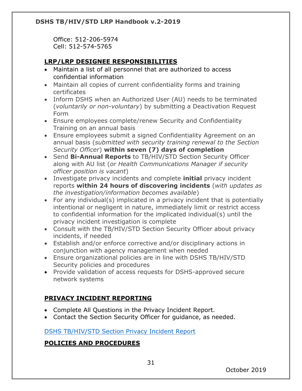Office: 512-206-5974 Cell: 512-574-5765

## **LRP/LRP DESIGNEE RESPONSIBILITIES**

- Maintain a list of all personnel that are authorized to access confidential information
- Maintain all copies of current confidentiality forms and training certificates
- Inform DSHS when an Authorized User (AU) needs to be terminated (*voluntarily or non-voluntary*) by submitting a Deactivation Request Form
- Ensure employees complete/renew Security and Confidentiality Training on an annual basis
- Ensure employees submit a signed Confidentiality Agreement on an annual basis (*submitted with security training renewal to the Section Security Officer*) **within seven (7) days of completion**
- Send **Bi-Annual Reports** to TB/HIV/STD Section Security Officer along with AU list (*or Health Communications Manager if security officer position is vacant*)
- Investigate privacy incidents and complete **initial** privacy incident reports **within 24 hours of discovering incidents** (*with updates as the investigation/information becomes available*)
- For any individual(s) implicated in a privacy incident that is potentially intentional or negligent in nature, immediately limit or restrict access to confidential information for the implicated individual(s) until the privacy incident investigation is complete
- Consult with the TB/HIV/STD Section Security Officer about privacy incidents, if needed
- Establish and/or enforce corrective and/or disciplinary actions in conjunction with agency management when needed
- Ensure organizational policies are in line with DSHS TB/HIV/STD Security policies and procedures
- Provide validation of access requests for DSHS-approved secure network systems

# **PRIVACY INCIDENT REPORTING**

- Complete All Questions in the Privacy Incident Report.
- Contact the Section Security Officer for guidance, as needed.

# [DSHS TB/HIV/STD Section Privacy Incident Report](https://forms.office.com/Pages/ResponsePage.aspx?id=Mnf5m7mCm0mxaqk-jr1Ta38I2AHeHwBBhxJ4qEmv_91UMEVPMjY3NzhJUzFDVjVQMjFGV0tQMUFESCQlQCN0PWcu)

# **POLICIES AND PROCEDURES**